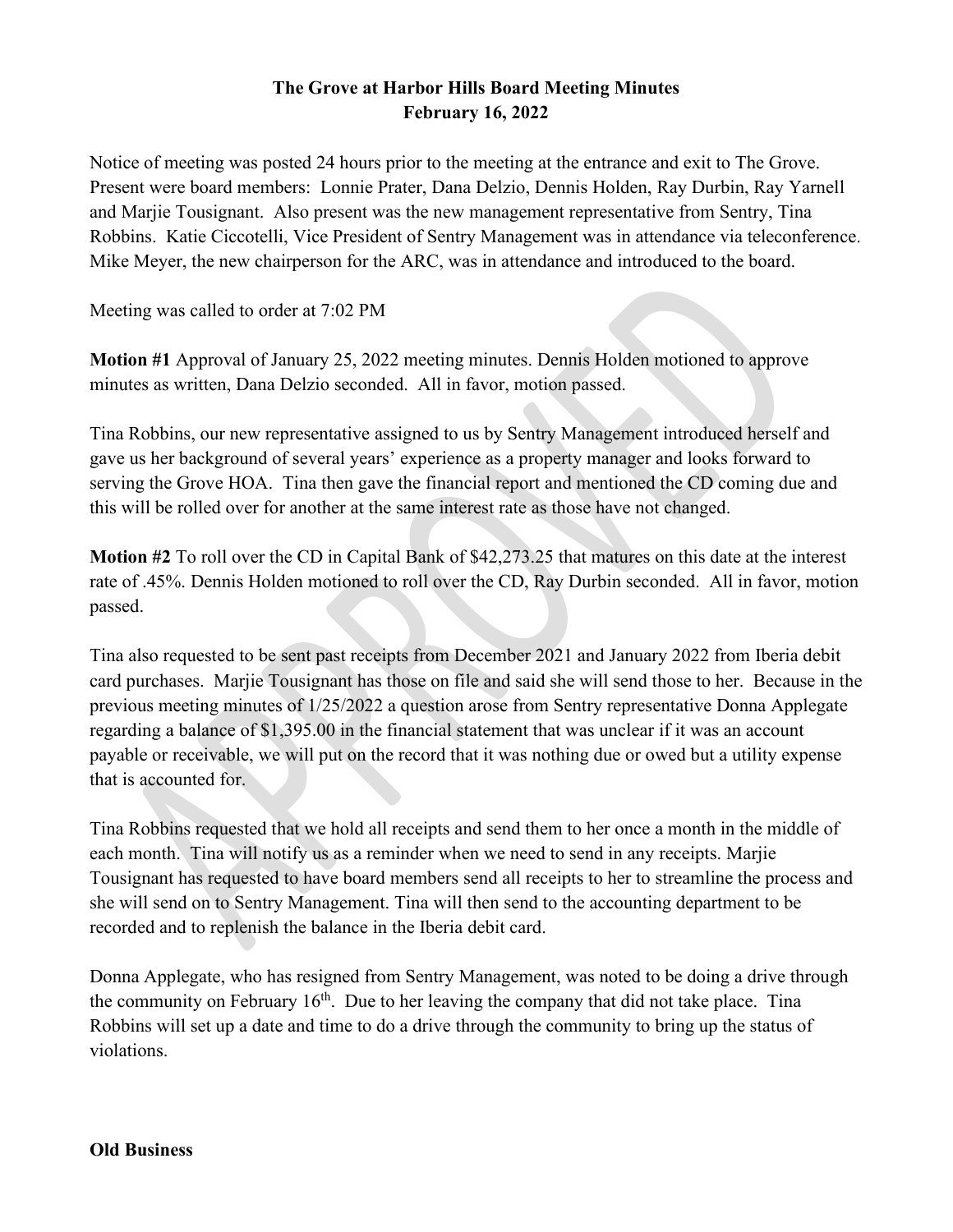## **The Grove at Harbor Hills Board Meeting Minutes February 16, 2022**

Notice of meeting was posted 24 hours prior to the meeting at the entrance and exit to The Grove. Present were board members: Lonnie Prater, Dana Delzio, Dennis Holden, Ray Durbin, Ray Yarnell and Marjie Tousignant. Also present was the new management representative from Sentry, Tina Robbins. Katie Ciccotelli, Vice President of Sentry Management was in attendance via teleconference. Mike Meyer, the new chairperson for the ARC, was in attendance and introduced to the board.

Meeting was called to order at 7:02 PM

**Motion #1** Approval of January 25, 2022 meeting minutes. Dennis Holden motioned to approve minutes as written, Dana Delzio seconded. All in favor, motion passed.

Tina Robbins, our new representative assigned to us by Sentry Management introduced herself and gave us her background of several years' experience as a property manager and looks forward to serving the Grove HOA. Tina then gave the financial report and mentioned the CD coming due and this will be rolled over for another at the same interest rate as those have not changed.

**Motion #2** To roll over the CD in Capital Bank of \$42,273.25 that matures on this date at the interest rate of .45%. Dennis Holden motioned to roll over the CD, Ray Durbin seconded. All in favor, motion passed.

Tina also requested to be sent past receipts from December 2021 and January 2022 from Iberia debit card purchases. Marjie Tousignant has those on file and said she will send those to her. Because in the previous meeting minutes of 1/25/2022 a question arose from Sentry representative Donna Applegate regarding a balance of \$1,395.00 in the financial statement that was unclear if it was an account payable or receivable, we will put on the record that it was nothing due or owed but a utility expense that is accounted for.

Tina Robbins requested that we hold all receipts and send them to her once a month in the middle of each month. Tina will notify us as a reminder when we need to send in any receipts. Marjie Tousignant has requested to have board members send all receipts to her to streamline the process and she will send on to Sentry Management. Tina will then send to the accounting department to be recorded and to replenish the balance in the Iberia debit card.

Donna Applegate, who has resigned from Sentry Management, was noted to be doing a drive through the community on February  $16<sup>th</sup>$ . Due to her leaving the company that did not take place. Tina Robbins will set up a date and time to do a drive through the community to bring up the status of violations.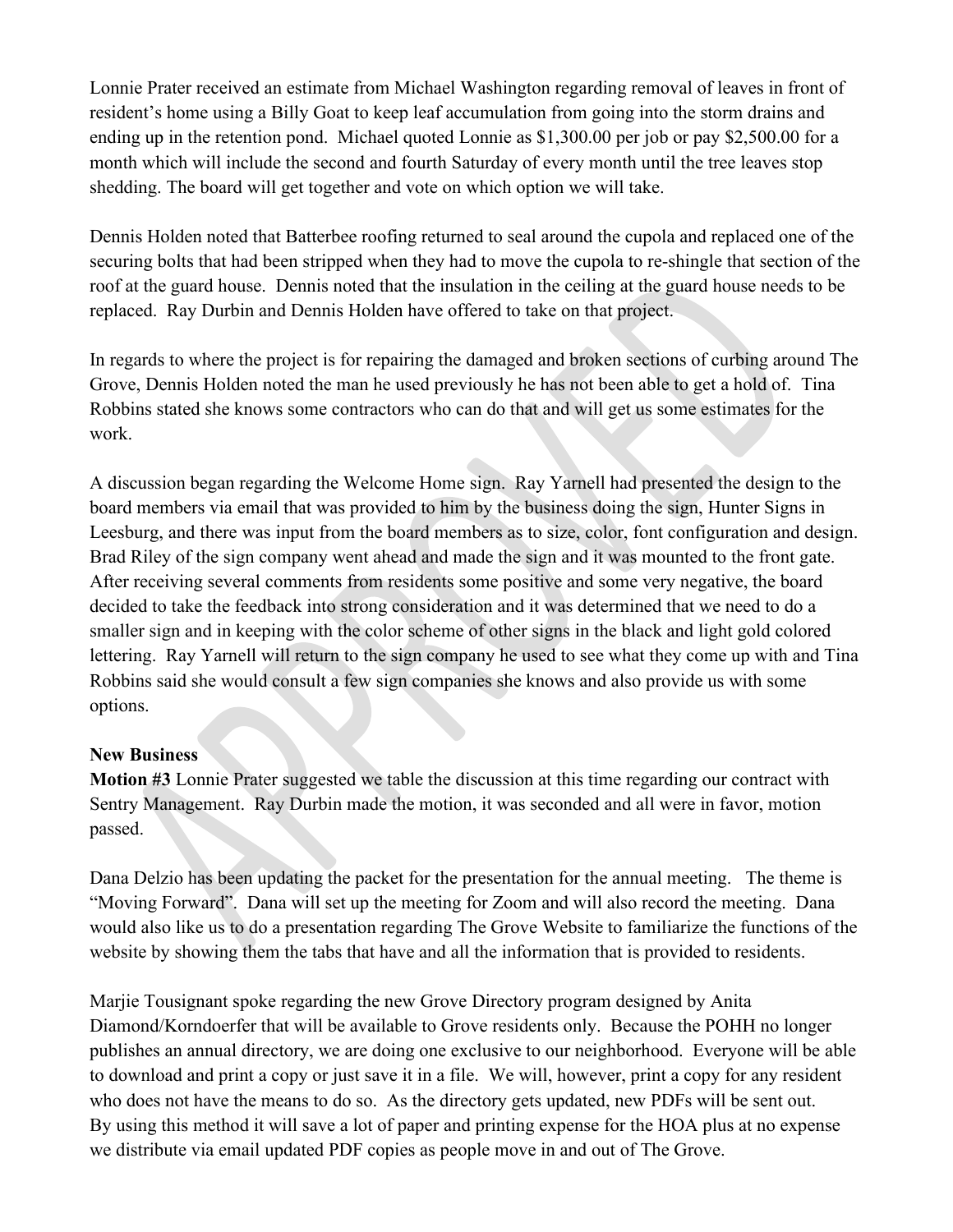Lonnie Prater received an estimate from Michael Washington regarding removal of leaves in front of resident's home using a Billy Goat to keep leaf accumulation from going into the storm drains and ending up in the retention pond. Michael quoted Lonnie as \$1,300.00 per job or pay \$2,500.00 for a month which will include the second and fourth Saturday of every month until the tree leaves stop shedding. The board will get together and vote on which option we will take.

Dennis Holden noted that Batterbee roofing returned to seal around the cupola and replaced one of the securing bolts that had been stripped when they had to move the cupola to re-shingle that section of the roof at the guard house. Dennis noted that the insulation in the ceiling at the guard house needs to be replaced. Ray Durbin and Dennis Holden have offered to take on that project.

In regards to where the project is for repairing the damaged and broken sections of curbing around The Grove, Dennis Holden noted the man he used previously he has not been able to get a hold of. Tina Robbins stated she knows some contractors who can do that and will get us some estimates for the work.

A discussion began regarding the Welcome Home sign. Ray Yarnell had presented the design to the board members via email that was provided to him by the business doing the sign, Hunter Signs in Leesburg, and there was input from the board members as to size, color, font configuration and design. Brad Riley of the sign company went ahead and made the sign and it was mounted to the front gate. After receiving several comments from residents some positive and some very negative, the board decided to take the feedback into strong consideration and it was determined that we need to do a smaller sign and in keeping with the color scheme of other signs in the black and light gold colored lettering. Ray Yarnell will return to the sign company he used to see what they come up with and Tina Robbins said she would consult a few sign companies she knows and also provide us with some options.

## **New Business**

**Motion #3** Lonnie Prater suggested we table the discussion at this time regarding our contract with Sentry Management. Ray Durbin made the motion, it was seconded and all were in favor, motion passed.

Dana Delzio has been updating the packet for the presentation for the annual meeting. The theme is "Moving Forward". Dana will set up the meeting for Zoom and will also record the meeting. Dana would also like us to do a presentation regarding The Grove Website to familiarize the functions of the website by showing them the tabs that have and all the information that is provided to residents.

Marjie Tousignant spoke regarding the new Grove Directory program designed by Anita Diamond/Korndoerfer that will be available to Grove residents only. Because the POHH no longer publishes an annual directory, we are doing one exclusive to our neighborhood. Everyone will be able to download and print a copy or just save it in a file. We will, however, print a copy for any resident who does not have the means to do so. As the directory gets updated, new PDFs will be sent out. By using this method it will save a lot of paper and printing expense for the HOA plus at no expense we distribute via email updated PDF copies as people move in and out of The Grove.